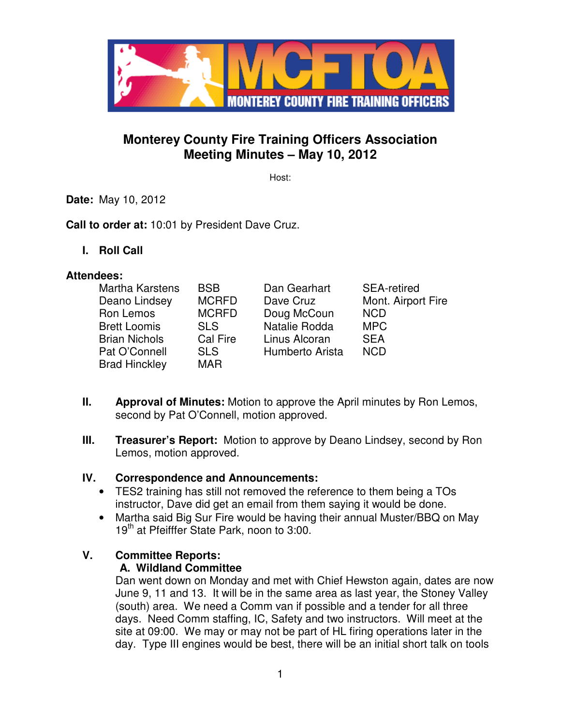

# **Monterey County Fire Training Officers Association Meeting Minutes – May 10, 2012**

Host:

**Date:** May 10, 2012

**Call to order at:** 10:01 by President Dave Cruz.

**I. Roll Call** 

#### **Attendees:**

| Martha Karstens      | <b>BSB</b>   | Dan Gearhart    | <b>SEA-retired</b> |
|----------------------|--------------|-----------------|--------------------|
| Deano Lindsey        | <b>MCRFD</b> | Dave Cruz       | Mont. Airport Fire |
| Ron Lemos            | <b>MCRFD</b> | Doug McCoun     | <b>NCD</b>         |
| <b>Brett Loomis</b>  | <b>SLS</b>   | Natalie Rodda   | <b>MPC</b>         |
| <b>Brian Nichols</b> | Cal Fire     | Linus Alcoran   | <b>SEA</b>         |
| Pat O'Connell        | <b>SLS</b>   | Humberto Arista | <b>NCD</b>         |
| <b>Brad Hinckley</b> | <b>MAR</b>   |                 |                    |

- **II. Approval of Minutes:** Motion to approve the April minutes by Ron Lemos, second by Pat O'Connell, motion approved.
- **III.** Treasurer's Report: Motion to approve by Deano Lindsey, second by Ron Lemos, motion approved.

### **IV. Correspondence and Announcements:**

- TES2 training has still not removed the reference to them being a TOs instructor, Dave did get an email from them saying it would be done.
- Martha said Big Sur Fire would be having their annual Muster/BBQ on May 19<sup>th</sup> at Pfeifffer State Park, noon to 3:00.

### **V. Committee Reports:**

#### **A. Wildland Committee**

Dan went down on Monday and met with Chief Hewston again, dates are now June 9, 11 and 13. It will be in the same area as last year, the Stoney Valley (south) area. We need a Comm van if possible and a tender for all three days. Need Comm staffing, IC, Safety and two instructors. Will meet at the site at 09:00. We may or may not be part of HL firing operations later in the day. Type III engines would be best, there will be an initial short talk on tools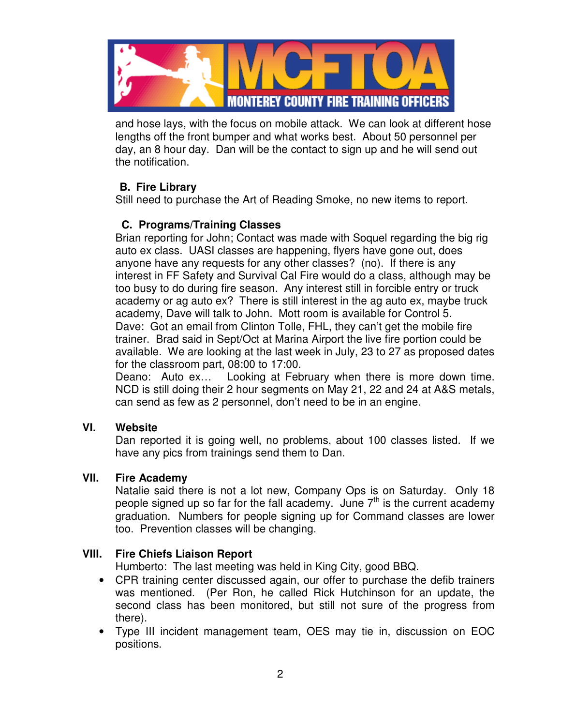

and hose lays, with the focus on mobile attack. We can look at different hose lengths off the front bumper and what works best. About 50 personnel per day, an 8 hour day. Dan will be the contact to sign up and he will send out the notification.

## **B. Fire Library**

Still need to purchase the Art of Reading Smoke, no new items to report.

## **C. Programs/Training Classes**

Brian reporting for John; Contact was made with Soquel regarding the big rig auto ex class. UASI classes are happening, flyers have gone out, does anyone have any requests for any other classes? (no). If there is any interest in FF Safety and Survival Cal Fire would do a class, although may be too busy to do during fire season. Any interest still in forcible entry or truck academy or ag auto ex? There is still interest in the ag auto ex, maybe truck academy, Dave will talk to John. Mott room is available for Control 5. Dave: Got an email from Clinton Tolle, FHL, they can't get the mobile fire trainer. Brad said in Sept/Oct at Marina Airport the live fire portion could be available. We are looking at the last week in July, 23 to 27 as proposed dates for the classroom part, 08:00 to 17:00.

Deano: Auto ex… Looking at February when there is more down time. NCD is still doing their 2 hour segments on May 21, 22 and 24 at A&S metals, can send as few as 2 personnel, don't need to be in an engine.

#### **VI. Website**

Dan reported it is going well, no problems, about 100 classes listed. If we have any pics from trainings send them to Dan.

#### **VII. Fire Academy**

Natalie said there is not a lot new, Company Ops is on Saturday. Only 18 people signed up so far for the fall academy. June  $7<sup>th</sup>$  is the current academy graduation. Numbers for people signing up for Command classes are lower too. Prevention classes will be changing.

### **VIII. Fire Chiefs Liaison Report**

Humberto: The last meeting was held in King City, good BBQ.

- CPR training center discussed again, our offer to purchase the defib trainers was mentioned. (Per Ron, he called Rick Hutchinson for an update, the second class has been monitored, but still not sure of the progress from there).
- Type III incident management team, OES may tie in, discussion on EOC positions.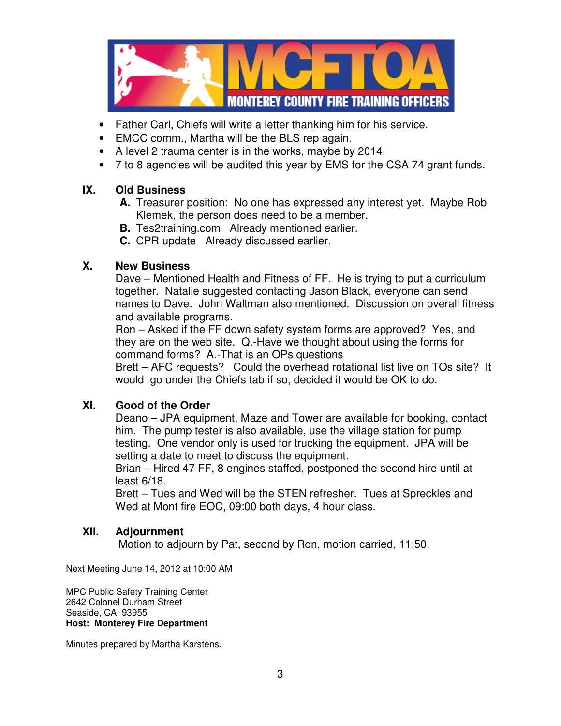

- Father Carl, Chiefs will write a letter thanking him for his service.
- EMCC comm., Martha will be the BLS rep again.
- A level 2 trauma center is in the works, maybe by 2014.
- 7 to 8 agencies will be audited this year by EMS for the CSA 74 grant funds.

### **IX. Old Business**

- **A.** Treasurer position: No one has expressed any interest yet. Maybe Rob Klemek, the person does need to be a member.
- **B.** Tes2training.com Already mentioned earlier.
- **C.** CPR update Already discussed earlier.

### **X. New Business**

Dave – Mentioned Health and Fitness of FF. He is trying to put a curriculum together. Natalie suggested contacting Jason Black, everyone can send names to Dave. John Waltman also mentioned. Discussion on overall fitness and available programs.

Ron – Asked if the FF down safety system forms are approved? Yes, and they are on the web site. Q.-Have we thought about using the forms for command forms? A.-That is an OPs questions

Brett – AFC requests? Could the overhead rotational list live on TOs site? It would go under the Chiefs tab if so, decided it would be OK to do.

### **XI. Good of the Order**

Deano – JPA equipment, Maze and Tower are available for booking, contact him. The pump tester is also available, use the village station for pump testing. One vendor only is used for trucking the equipment. JPA will be setting a date to meet to discuss the equipment.

Brian – Hired 47 FF, 8 engines staffed, postponed the second hire until at least 6/18.

Brett – Tues and Wed will be the STEN refresher. Tues at Spreckles and Wed at Mont fire EOC, 09:00 both days, 4 hour class.

### **XII. Adjournment**

Motion to adjourn by Pat, second by Ron, motion carried, 11:50.

Next Meeting June 14, 2012 at 10:00 AM

MPC Public Safety Training Center 2642 Colonel Durham Street Seaside, CA. 93955 **Host: Monterey Fire Department** 

Minutes prepared by Martha Karstens.